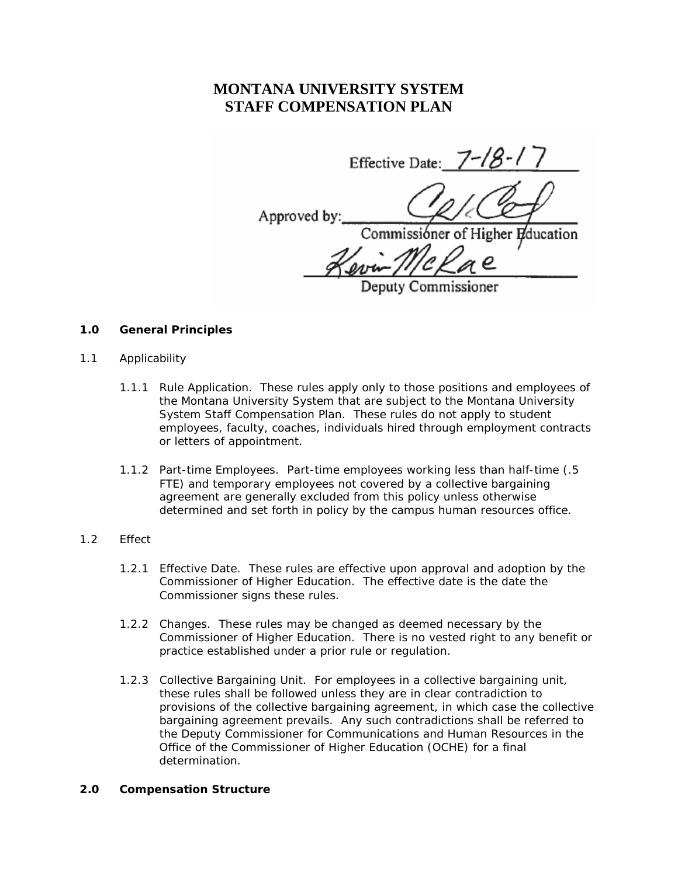# **MONTANA UNIVERSITY SYSTEM STAFF COMPENSATION PLAN**

Effective Date:  $7 - 18 - 17$ Approved by Commissioner of Higher Education

## Deputy Commissioner

### **1.0 General Principles**

- 1.1 Applicability
	- 1.1.1 Rule Application. These rules apply only to those positions and employees of the Montana University System that are subject to the Montana University System Staff Compensation Plan. These rules do not apply to student employees, faculty, coaches, individuals hired through employment contracts or letters of appointment.
	- 1.1.2 Part-time Employees. Part-time employees working less than half-time (.5 FTE) and temporary employees not covered by a collective bargaining agreement are generally excluded from this policy unless otherwise determined and set forth in policy by the campus human resources office.

## 1.2 Effect

- 1.2.1 Effective Date. These rules are effective upon approval and adoption by the Commissioner of Higher Education. The effective date is the date the Commissioner signs these rules.
- 1.2.2 Changes. These rules may be changed as deemed necessary by the Commissioner of Higher Education. There is no vested right to any benefit or practice established under a prior rule or regulation.
- 1.2.3 Collective Bargaining Unit. For employees in a collective bargaining unit, these rules shall be followed unless they are in clear contradiction to provisions of the collective bargaining agreement, in which case the collective bargaining agreement prevails. Any such contradictions shall be referred to the Deputy Commissioner for Communications and Human Resources in the Office of the Commissioner of Higher Education (OCHE) for a final determination.

## **2.0 Compensation Structure**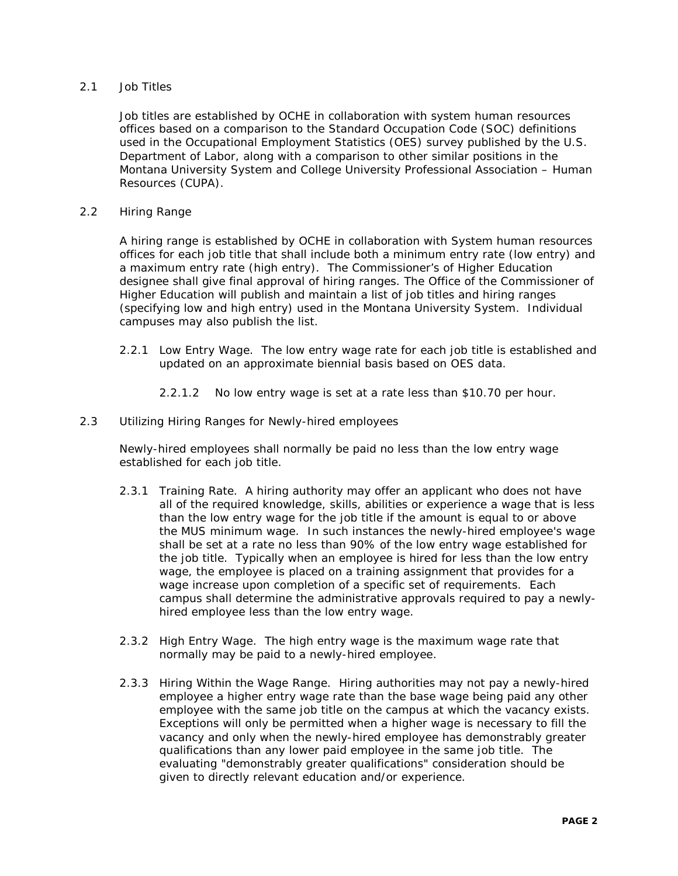## 2.1 Job Titles

Job titles are established by OCHE in collaboration with system human resources offices based on a comparison to the Standard Occupation Code (SOC) definitions used in the Occupational Employment Statistics (OES) survey published by the U.S. Department of Labor, along with a comparison to other similar positions in the Montana University System and College University Professional Association – Human Resources (CUPA).

### 2.2 Hiring Range

A hiring range is established by OCHE in collaboration with System human resources offices for each job title that shall include both a minimum entry rate (low entry) and a maximum entry rate (high entry). The Commissioner's of Higher Education designee shall give final approval of hiring ranges. The Office of the Commissioner of Higher Education will publish and maintain a list of job titles and hiring ranges (specifying low and high entry) used in the Montana University System. Individual campuses may also publish the list.

- 2.2.1 Low Entry Wage. The low entry wage rate for each job title is established and updated on an approximate biennial basis based on OES data.
	- 2.2.1.2 No low entry wage is set at a rate less than \$10.70 per hour.
- 2.3 Utilizing Hiring Ranges for Newly-hired employees

Newly-hired employees shall normally be paid no less than the low entry wage established for each job title.

- 2.3.1 Training Rate. A hiring authority may offer an applicant who does not have all of the required knowledge, skills, abilities or experience a wage that is less than the low entry wage for the job title if the amount is equal to or above the MUS minimum wage. In such instances the newly-hired employee's wage shall be set at a rate no less than 90% of the low entry wage established for the job title. Typically when an employee is hired for less than the low entry wage, the employee is placed on a training assignment that provides for a wage increase upon completion of a specific set of requirements. Each campus shall determine the administrative approvals required to pay a newlyhired employee less than the low entry wage.
- 2.3.2 High Entry Wage. The high entry wage is the maximum wage rate that normally may be paid to a newly-hired employee.
- 2.3.3 Hiring Within the Wage Range. Hiring authorities may not pay a newly-hired employee a higher entry wage rate than the base wage being paid any other employee with the same job title on the campus at which the vacancy exists. Exceptions will only be permitted when a higher wage is necessary to fill the vacancy and only when the newly-hired employee has demonstrably greater qualifications than any lower paid employee in the same job title. The evaluating "demonstrably greater qualifications" consideration should be given to directly relevant education and/or experience.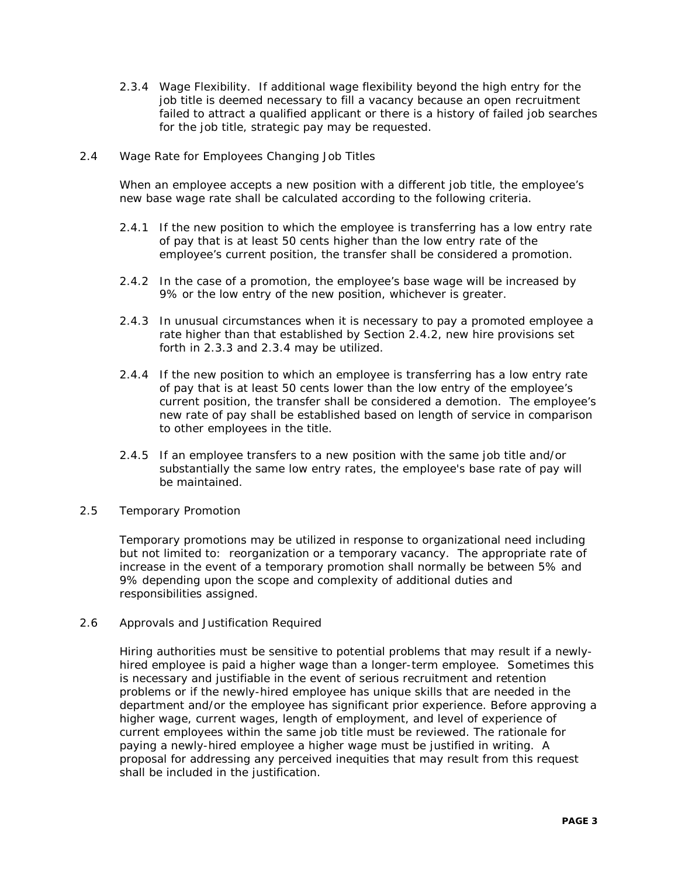- 2.3.4 Wage Flexibility. If additional wage flexibility beyond the high entry for the job title is deemed necessary to fill a vacancy because an open recruitment failed to attract a qualified applicant or there is a history of failed job searches for the job title, strategic pay may be requested.
- 2.4 Wage Rate for Employees Changing Job Titles

When an employee accepts a new position with a different job title, the employee's new base wage rate shall be calculated according to the following criteria.

- 2.4.1 If the new position to which the employee is transferring has a low entry rate of pay that is at least 50 cents higher than the low entry rate of the employee's current position, the transfer shall be considered a promotion.
- 2.4.2 In the case of a promotion, the employee's base wage will be increased by 9% or the low entry of the new position, whichever is greater.
- 2.4.3 In unusual circumstances when it is necessary to pay a promoted employee a rate higher than that established by Section 2.4.2, new hire provisions set forth in 2.3.3 and 2.3.4 may be utilized.
- 2.4.4 If the new position to which an employee is transferring has a low entry rate of pay that is at least 50 cents lower than the low entry of the employee's current position, the transfer shall be considered a demotion. The employee's new rate of pay shall be established based on length of service in comparison to other employees in the title.
- 2.4.5 If an employee transfers to a new position with the same job title and/or substantially the same low entry rates, the employee's base rate of pay will be maintained.
- 2.5 Temporary Promotion

Temporary promotions may be utilized in response to organizational need including but not limited to: reorganization or a temporary vacancy. The appropriate rate of increase in the event of a temporary promotion shall normally be between 5% and 9% depending upon the scope and complexity of additional duties and responsibilities assigned.

2.6 Approvals and Justification Required

Hiring authorities must be sensitive to potential problems that may result if a newlyhired employee is paid a higher wage than a longer-term employee. Sometimes this is necessary and justifiable in the event of serious recruitment and retention problems or if the newly-hired employee has unique skills that are needed in the department and/or the employee has significant prior experience. Before approving a higher wage, current wages, length of employment, and level of experience of current employees within the same job title must be reviewed. The rationale for paying a newly-hired employee a higher wage must be justified in writing. A proposal for addressing any perceived inequities that may result from this request shall be included in the justification.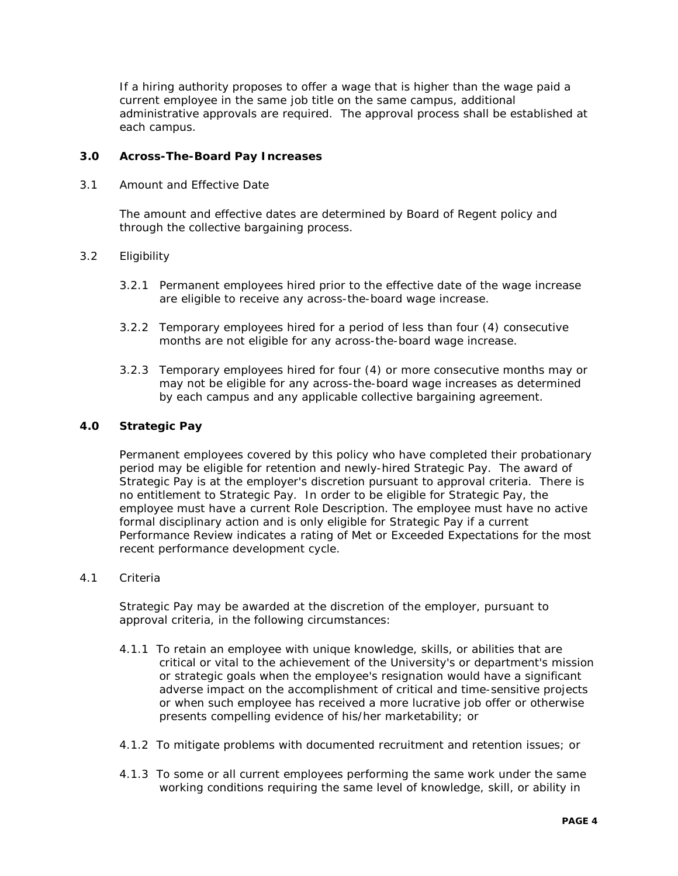If a hiring authority proposes to offer a wage that is higher than the wage paid a current employee in the same job title on the same campus, additional administrative approvals are required. The approval process shall be established at each campus.

## **3.0 Across-The-Board Pay Increases**

3.1 Amount and Effective Date

The amount and effective dates are determined by Board of Regent policy and through the collective bargaining process.

## 3.2 Eligibility

- 3.2.1 Permanent employees hired prior to the effective date of the wage increase are eligible to receive any across-the-board wage increase.
- 3.2.2 Temporary employees hired for a period of less than four (4) consecutive months are not eligible for any across-the-board wage increase.
- 3.2.3 Temporary employees hired for four (4) or more consecutive months may or may not be eligible for any across-the-board wage increases as determined by each campus and any applicable collective bargaining agreement.

## **4.0 Strategic Pay**

Permanent employees covered by this policy who have completed their probationary period may be eligible for retention and newly-hired Strategic Pay. The award of Strategic Pay is at the employer's discretion pursuant to approval criteria. There is no entitlement to Strategic Pay. In order to be eligible for Strategic Pay, the employee must have a current Role Description. The employee must have no active formal disciplinary action and is only eligible for Strategic Pay if a current Performance Review indicates a rating of Met or Exceeded Expectations for the most recent performance development cycle.

#### 4.1 Criteria

Strategic Pay may be awarded at the discretion of the employer, pursuant to approval criteria, in the following circumstances:

- 4.1.1 To retain an employee with unique knowledge, skills, or abilities that are critical or vital to the achievement of the University's or department's mission or strategic goals when the employee's resignation would have a significant adverse impact on the accomplishment of critical and time-sensitive projects or when such employee has received a more lucrative job offer or otherwise presents compelling evidence of his/her marketability; or
- 4.1.2 To mitigate problems with documented recruitment and retention issues; or
- 4.1.3 To some or all current employees performing the same work under the same working conditions requiring the same level of knowledge, skill, or ability in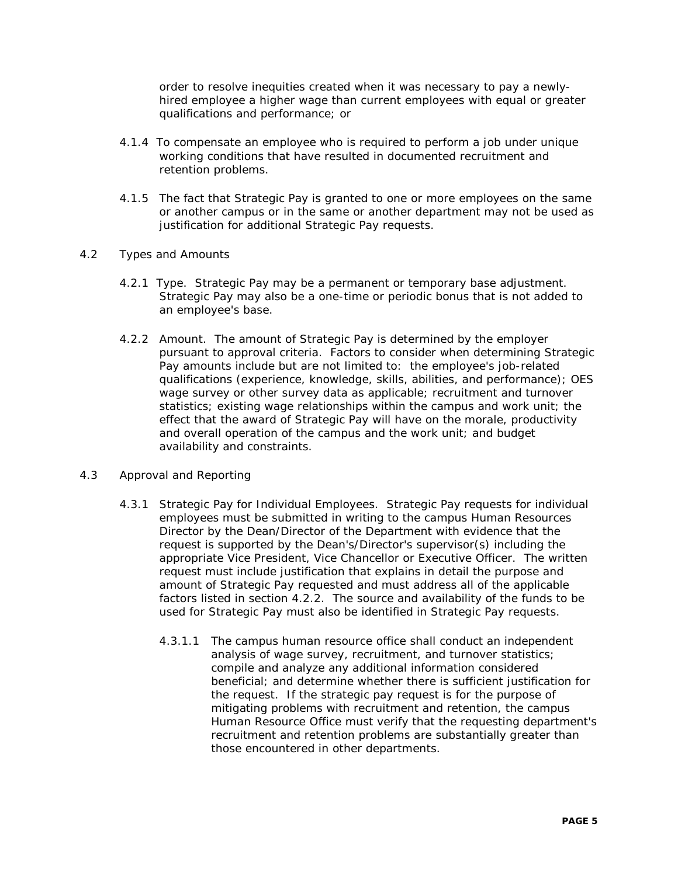order to resolve inequities created when it was necessary to pay a newlyhired employee a higher wage than current employees with equal or greater qualifications and performance; or

- 4.1.4 To compensate an employee who is required to perform a job under unique working conditions that have resulted in documented recruitment and retention problems.
- 4.1.5 The fact that Strategic Pay is granted to one or more employees on the same or another campus or in the same or another department may not be used as justification for additional Strategic Pay requests.

### 4.2 Types and Amounts

- 4.2.1 Type. Strategic Pay may be a permanent or temporary base adjustment. Strategic Pay may also be a one-time or periodic bonus that is not added to an employee's base.
- 4.2.2 Amount. The amount of Strategic Pay is determined by the employer pursuant to approval criteria. Factors to consider when determining Strategic Pay amounts include but are not limited to: the employee's job-related qualifications (experience, knowledge, skills, abilities, and performance); OES wage survey or other survey data as applicable; recruitment and turnover statistics; existing wage relationships within the campus and work unit; the effect that the award of Strategic Pay will have on the morale, productivity and overall operation of the campus and the work unit; and budget availability and constraints.

## 4.3 Approval and Reporting

- 4.3.1 Strategic Pay for Individual Employees. Strategic Pay requests for individual employees must be submitted in writing to the campus Human Resources Director by the Dean/Director of the Department with evidence that the request is supported by the Dean's/Director's supervisor(s) including the appropriate Vice President, Vice Chancellor or Executive Officer. The written request must include justification that explains in detail the purpose and amount of Strategic Pay requested and must address all of the applicable factors listed in section 4.2.2. The source and availability of the funds to be used for Strategic Pay must also be identified in Strategic Pay requests.
	- 4.3.1.1 The campus human resource office shall conduct an independent analysis of wage survey, recruitment, and turnover statistics; compile and analyze any additional information considered beneficial; and determine whether there is sufficient justification for the request. If the strategic pay request is for the purpose of mitigating problems with recruitment and retention, the campus Human Resource Office must verify that the requesting department's recruitment and retention problems are substantially greater than those encountered in other departments.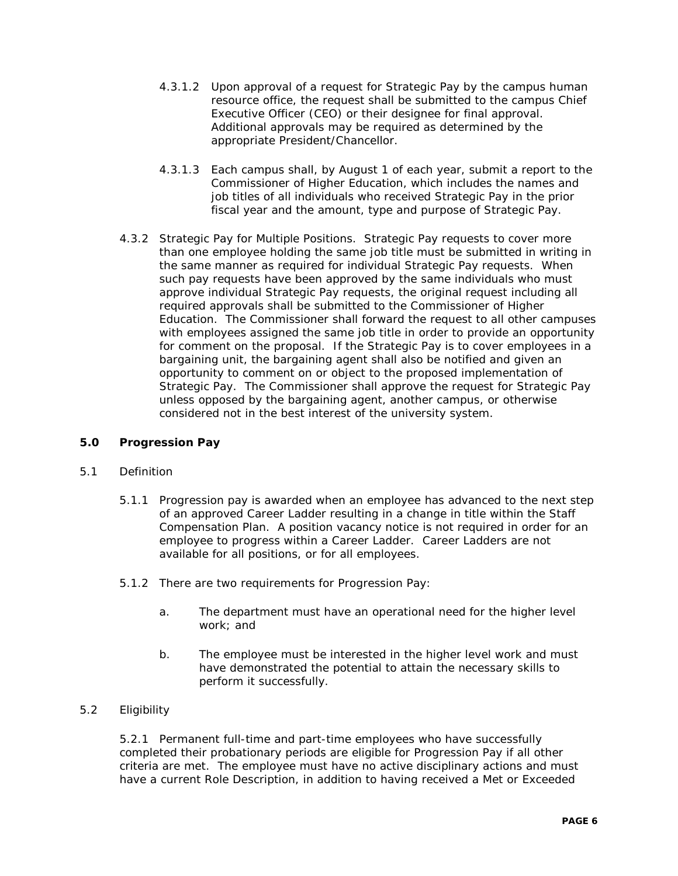- 4.3.1.2 Upon approval of a request for Strategic Pay by the campus human resource office, the request shall be submitted to the campus Chief Executive Officer (CEO) or their designee for final approval. Additional approvals may be required as determined by the appropriate President/Chancellor.
- 4.3.1.3 Each campus shall, by August 1 of each year, submit a report to the Commissioner of Higher Education, which includes the names and job titles of all individuals who received Strategic Pay in the prior fiscal year and the amount, type and purpose of Strategic Pay.
- 4.3.2 Strategic Pay for Multiple Positions. Strategic Pay requests to cover more than one employee holding the same job title must be submitted in writing in the same manner as required for individual Strategic Pay requests. When such pay requests have been approved by the same individuals who must approve individual Strategic Pay requests, the original request including all required approvals shall be submitted to the Commissioner of Higher Education. The Commissioner shall forward the request to all other campuses with employees assigned the same job title in order to provide an opportunity for comment on the proposal. If the Strategic Pay is to cover employees in a bargaining unit, the bargaining agent shall also be notified and given an opportunity to comment on or object to the proposed implementation of Strategic Pay. The Commissioner shall approve the request for Strategic Pay unless opposed by the bargaining agent, another campus, or otherwise considered not in the best interest of the university system.

## **5.0 Progression Pay**

## 5.1 Definition

- 5.1.1 Progression pay is awarded when an employee has advanced to the next step of an approved Career Ladder resulting in a change in title within the Staff Compensation Plan. A position vacancy notice is not required in order for an employee to progress within a Career Ladder. Career Ladders are not available for all positions, or for all employees.
- 5.1.2 There are two requirements for Progression Pay:
	- a. The department must have an operational need for the higher level work; and
	- b. The employee must be interested in the higher level work and must have demonstrated the potential to attain the necessary skills to perform it successfully.

## 5.2 Eligibility

5.2.1 Permanent full-time and part-time employees who have successfully completed their probationary periods are eligible for Progression Pay if all other criteria are met. The employee must have no active disciplinary actions and must have a current Role Description, in addition to having received a Met or Exceeded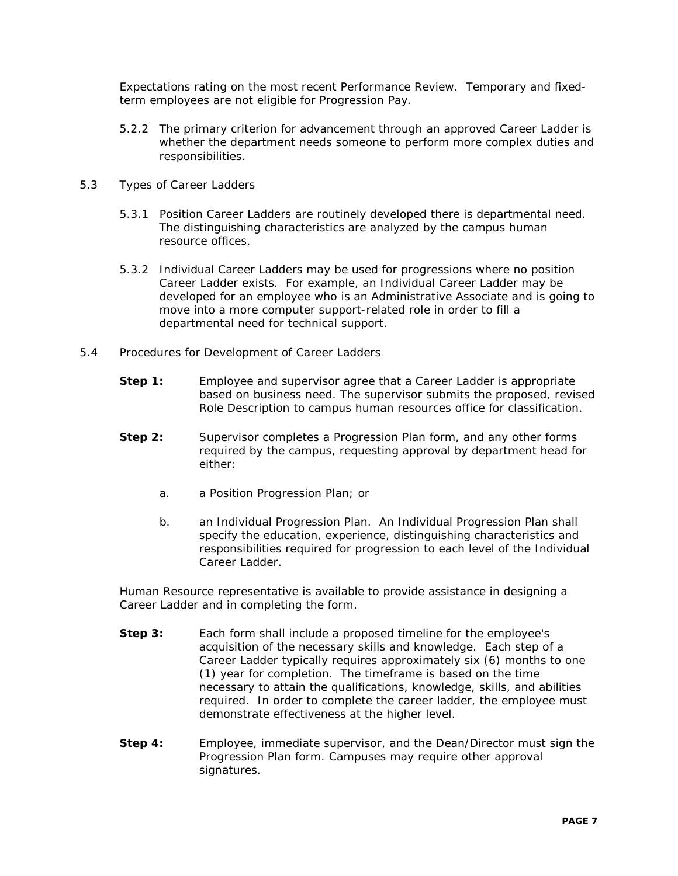Expectations rating on the most recent Performance Review. Temporary and fixedterm employees are not eligible for Progression Pay.

- 5.2.2 The primary criterion for advancement through an approved Career Ladder is whether the department needs someone to perform more complex duties and responsibilities.
- 5.3 Types of Career Ladders
	- 5.3.1 Position Career Ladders are routinely developed there is departmental need. The distinguishing characteristics are analyzed by the campus human resource offices.
	- 5.3.2 Individual Career Ladders may be used for progressions where no position Career Ladder exists. For example, an Individual Career Ladder may be developed for an employee who is an Administrative Associate and is going to move into a more computer support-related role in order to fill a departmental need for technical support.
- 5.4 Procedures for Development of Career Ladders
	- **Step 1:** Employee and supervisor agree that a Career Ladder is appropriate based on business need. The supervisor submits the proposed, revised Role Description to campus human resources office for classification.
	- **Step 2:** Supervisor completes a Progression Plan form, and any other forms required by the campus, requesting approval by department head for either:
		- a. a Position Progression Plan; or
		- b. an Individual Progression Plan. An Individual Progression Plan shall specify the education, experience, distinguishing characteristics and responsibilities required for progression to each level of the Individual Career Ladder.

Human Resource representative is available to provide assistance in designing a Career Ladder and in completing the form.

- **Step 3:** Each form shall include a proposed timeline for the employee's acquisition of the necessary skills and knowledge. Each step of a Career Ladder typically requires approximately six (6) months to one (1) year for completion. The timeframe is based on the time necessary to attain the qualifications, knowledge, skills, and abilities required. In order to complete the career ladder, the employee must demonstrate effectiveness at the higher level.
- **Step 4:** Employee, immediate supervisor, and the Dean/Director must sign the Progression Plan form. Campuses may require other approval signatures.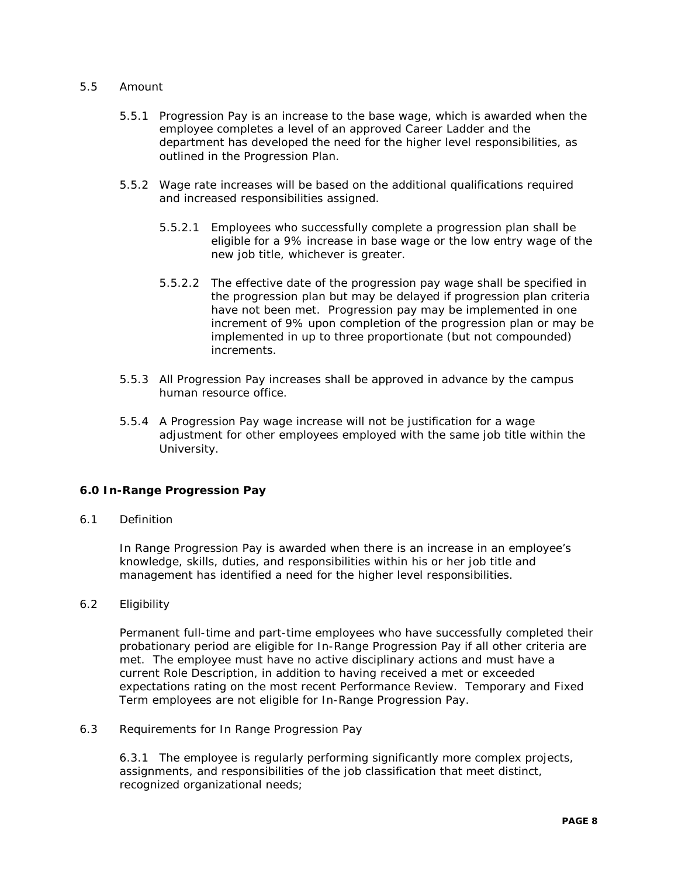#### 5.5 Amount

- 5.5.1 Progression Pay is an increase to the base wage, which is awarded when the employee completes a level of an approved Career Ladder and the department has developed the need for the higher level responsibilities, as outlined in the Progression Plan.
- 5.5.2 Wage rate increases will be based on the additional qualifications required and increased responsibilities assigned.
	- 5.5.2.1 Employees who successfully complete a progression plan shall be eligible for a 9% increase in base wage or the low entry wage of the new job title, whichever is greater.
	- 5.5.2.2 The effective date of the progression pay wage shall be specified in the progression plan but may be delayed if progression plan criteria have not been met. Progression pay may be implemented in one increment of 9% upon completion of the progression plan or may be implemented in up to three proportionate (but not compounded) increments.
- 5.5.3 All Progression Pay increases shall be approved in advance by the campus human resource office.
- 5.5.4 A Progression Pay wage increase will not be justification for a wage adjustment for other employees employed with the same job title within the University.

## **6.0 In-Range Progression Pay**

6.1 Definition

In Range Progression Pay is awarded when there is an increase in an employee's knowledge, skills, duties, and responsibilities within his or her job title and management has identified a need for the higher level responsibilities.

6.2 Eligibility

Permanent full-time and part-time employees who have successfully completed their probationary period are eligible for In-Range Progression Pay if all other criteria are met. The employee must have no active disciplinary actions and must have a current Role Description, in addition to having received a met or exceeded expectations rating on the most recent Performance Review. Temporary and Fixed Term employees are not eligible for In-Range Progression Pay.

6.3 Requirements for In Range Progression Pay

6.3.1 The employee is regularly performing significantly more complex projects, assignments, and responsibilities of the job classification that meet distinct, recognized organizational needs;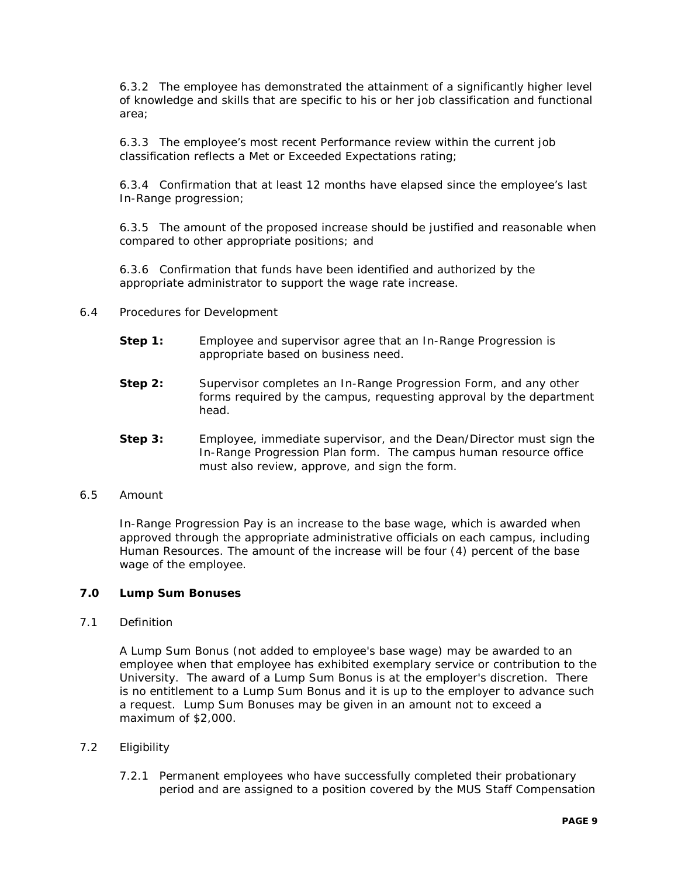6.3.2 The employee has demonstrated the attainment of a significantly higher level of knowledge and skills that are specific to his or her job classification and functional area;

6.3.3 The employee's most recent Performance review within the current job classification reflects a Met or Exceeded Expectations rating;

6.3.4 Confirmation that at least 12 months have elapsed since the employee's last In-Range progression;

6.3.5 The amount of the proposed increase should be justified and reasonable when compared to other appropriate positions; and

6.3.6 Confirmation that funds have been identified and authorized by the appropriate administrator to support the wage rate increase.

- 6.4 Procedures for Development
	- **Step 1:** Employee and supervisor agree that an In-Range Progression is appropriate based on business need.
	- **Step 2:** Supervisor completes an In-Range Progression Form, and any other forms required by the campus, requesting approval by the department head.
	- **Step 3:** Employee, immediate supervisor, and the Dean/Director must sign the In-Range Progression Plan form. The campus human resource office must also review, approve, and sign the form.
- 6.5 Amount

In-Range Progression Pay is an increase to the base wage, which is awarded when approved through the appropriate administrative officials on each campus, including Human Resources. The amount of the increase will be four (4) percent of the base wage of the employee.

## **7.0 Lump Sum Bonuses**

7.1 Definition

A Lump Sum Bonus (not added to employee's base wage) may be awarded to an employee when that employee has exhibited exemplary service or contribution to the University. The award of a Lump Sum Bonus is at the employer's discretion. There is no entitlement to a Lump Sum Bonus and it is up to the employer to advance such a request. Lump Sum Bonuses may be given in an amount not to exceed a maximum of \$2,000.

- 7.2 Eligibility
	- 7.2.1 Permanent employees who have successfully completed their probationary period and are assigned to a position covered by the MUS Staff Compensation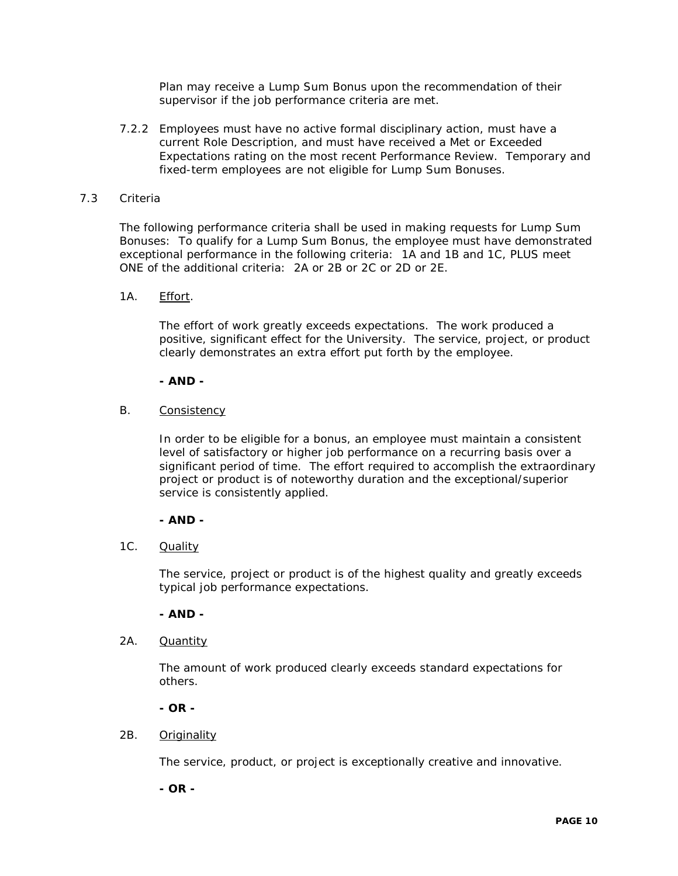Plan may receive a Lump Sum Bonus upon the recommendation of their supervisor if the job performance criteria are met.

7.2.2 Employees must have no active formal disciplinary action, must have a current Role Description, and must have received a Met or Exceeded Expectations rating on the most recent Performance Review. Temporary and fixed-term employees are not eligible for Lump Sum Bonuses.

#### 7.3 Criteria

The following performance criteria shall be used in making requests for Lump Sum Bonuses: To qualify for a Lump Sum Bonus, the employee must have demonstrated exceptional performance in the following criteria: 1A and 1B and 1C, PLUS meet ONE of the additional criteria: 2A or 2B or 2C or 2D or 2E.

1A. Effort.

The effort of work greatly exceeds expectations. The work produced a positive, significant effect for the University. The service, project, or product clearly demonstrates an extra effort put forth by the employee.

#### **- AND -**

B. Consistency

In order to be eligible for a bonus, an employee must maintain a consistent level of satisfactory or higher job performance on a recurring basis over a significant period of time. The effort required to accomplish the extraordinary project or product is of noteworthy duration and the exceptional/superior service is consistently applied.

#### **- AND -**

1C. Quality

The service, project or product is of the highest quality and greatly exceeds typical job performance expectations.

#### **- AND -**

2A. Quantity

The amount of work produced clearly exceeds standard expectations for others.

## **- OR -**

#### 2B. Originality

The service, product, or project is exceptionally creative and innovative.

**- OR -**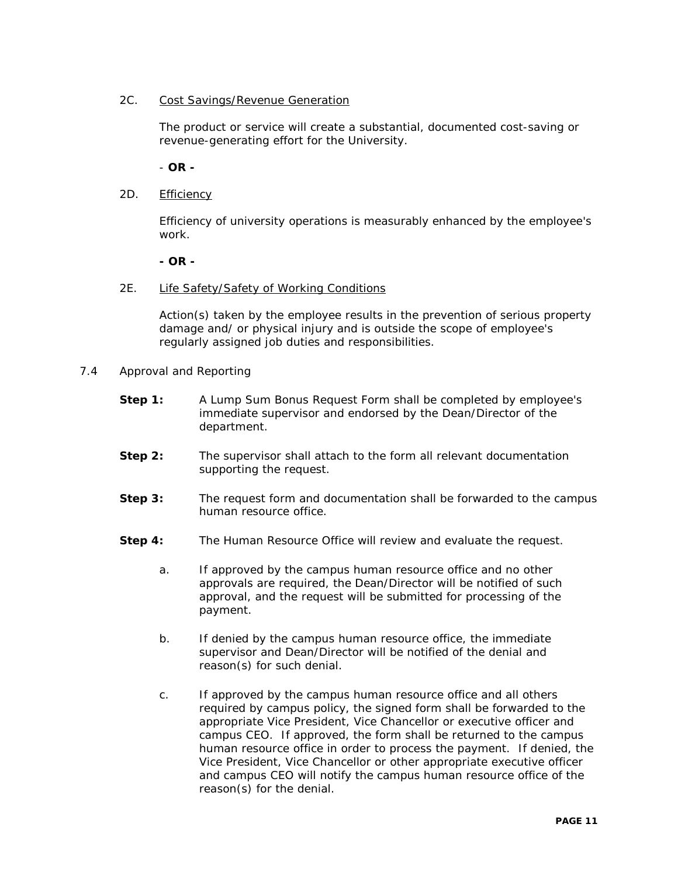## 2C. Cost Savings/Revenue Generation

The product or service will create a substantial, documented cost-saving or revenue-generating effort for the University.

## - **OR -**

2D. Efficiency

Efficiency of university operations is measurably enhanced by the employee's work.

#### **- OR -**

2E. Life Safety/Safety of Working Conditions

Action(s) taken by the employee results in the prevention of serious property damage and/ or physical injury and is outside the scope of employee's regularly assigned job duties and responsibilities.

- 7.4 Approval and Reporting
	- **Step 1:** A Lump Sum Bonus Request Form shall be completed by employee's immediate supervisor and endorsed by the Dean/Director of the department.
	- **Step 2:** The supervisor shall attach to the form all relevant documentation supporting the request.
	- **Step 3:** The request form and documentation shall be forwarded to the campus human resource office.
	- **Step 4:** The Human Resource Office will review and evaluate the request.
		- a. If approved by the campus human resource office and no other approvals are required, the Dean/Director will be notified of such approval, and the request will be submitted for processing of the payment.
		- b. If denied by the campus human resource office, the immediate supervisor and Dean/Director will be notified of the denial and reason(s) for such denial.
		- c. If approved by the campus human resource office and all others required by campus policy, the signed form shall be forwarded to the appropriate Vice President, Vice Chancellor or executive officer and campus CEO. If approved, the form shall be returned to the campus human resource office in order to process the payment. If denied, the Vice President, Vice Chancellor or other appropriate executive officer and campus CEO will notify the campus human resource office of the reason(s) for the denial.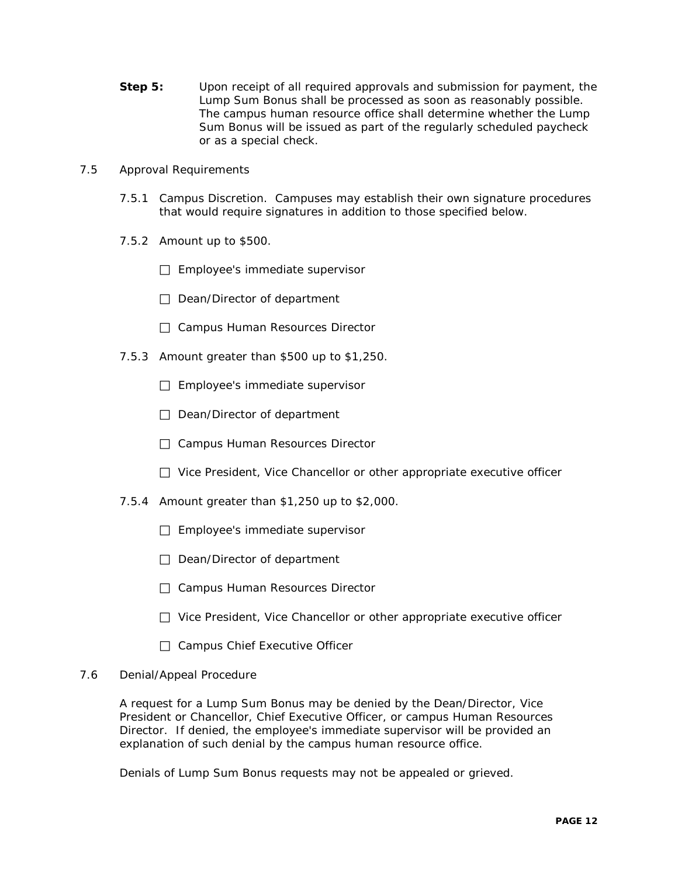- **Step 5:** Upon receipt of all required approvals and submission for payment, the Lump Sum Bonus shall be processed as soon as reasonably possible. The campus human resource office shall determine whether the Lump Sum Bonus will be issued as part of the regularly scheduled paycheck or as a special check.
- 7.5 Approval Requirements
	- 7.5.1 Campus Discretion. Campuses may establish their own signature procedures that would require signatures in addition to those specified below.
	- 7.5.2 Amount up to \$500.
		- $\Box$  Employee's immediate supervisor
		- $\Box$  Dean/Director of department
		- □ Campus Human Resources Director
	- 7.5.3 Amount greater than \$500 up to \$1,250.
		- $\Box$  Employee's immediate supervisor
		- $\Box$  Dean/Director of department
		- □ Campus Human Resources Director
		- $\Box$  Vice President, Vice Chancellor or other appropriate executive officer
	- 7.5.4 Amount greater than \$1,250 up to \$2,000.
		- $\Box$  Employee's immediate supervisor
		- Dean/Director of department
		- □ Campus Human Resources Director
		- $\Box$  Vice President, Vice Chancellor or other appropriate executive officer
		- $\Box$  Campus Chief Executive Officer

#### 7.6 Denial/Appeal Procedure

A request for a Lump Sum Bonus may be denied by the Dean/Director, Vice President or Chancellor, Chief Executive Officer, or campus Human Resources Director. If denied, the employee's immediate supervisor will be provided an explanation of such denial by the campus human resource office.

Denials of Lump Sum Bonus requests may not be appealed or grieved.